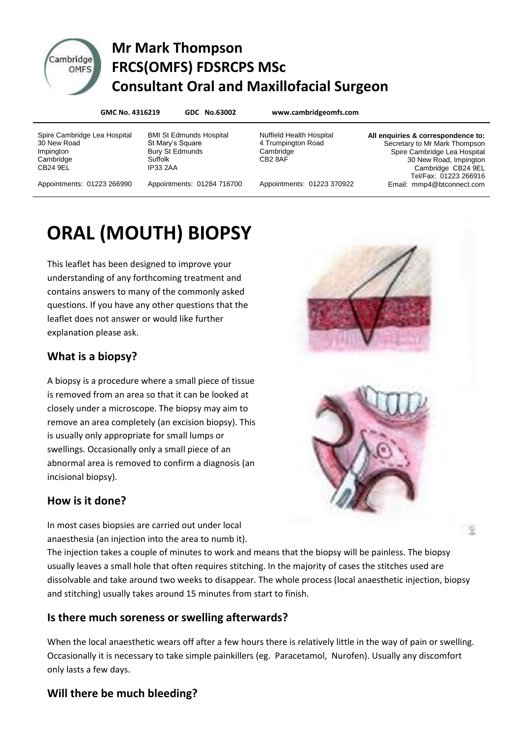

# Cambridge Mr Mark Thompson **EXAMPLE FRCS(OMFS) FDSRCPS MSc Consultant Oral and Maxillofacial Surgeon**

**GMC No. 4316219 GDC No.63002 www.cambridgeomfs.com**

Spire Cambridge Lea Hospital 30 New Road Impington **Cambridge** CB24 9EL

BMI St Edmunds Hospital St Mary's Square Bury St Edmunds Suffolk IP33 2AA

Nuffield Health Hospital 4 Trumpington Road **Cambridge** CB2 8AF

**All enquiries & correspondence to:** Secretary to Mr Mark Thompson Spire Cambridge Lea Hospital 30 New Road, Impington Cambridge CB24 9EL Tel/Fax: 01223 266916 Email: mmp4@btconnect.com

×

Appointments: 01223 266990

Appointments: 01284 716700

Appointments: 01223 370922

# **ORAL (MOUTH) BIOPSY**

This leaflet has been designed to improve your understanding of any forthcoming treatment and contains answers to many of the commonly asked questions. If you have any other questions that the leaflet does not answer or would like further explanation please ask.

#### **What is a biopsy?**

A biopsy is a procedure where a small piece of tissue is removed from an area so that it can be looked at closely under a microscope. The biopsy may aim to remove an area completely (an excision biopsy). This is usually only appropriate for small lumps or swellings. Occasionally only a small piece of an abnormal area is removed to confirm a diagnosis (an incisional biopsy).

#### **How is it done?**

In most cases biopsies are carried out under local anaesthesia (an injection into the area to numb it).

The injection takes a couple of minutes to work and means that the biopsy will be painless. The biopsy usually leaves a small hole that often requires stitching. In the majority of cases the stitches used are dissolvable and take around two weeks to disappear. The whole process (local anaesthetic injection, biopsy and stitching) usually takes around 15 minutes from start to finish.

## **Is there much soreness or swelling afterwards?**

When the local anaesthetic wears off after a few hours there is relatively little in the way of pain or swelling. Occasionally it is necessary to take simple painkillers (eg. Paracetamol, Nurofen). Usually any discomfort only lasts a few days.

## **Will there be much bleeding?**